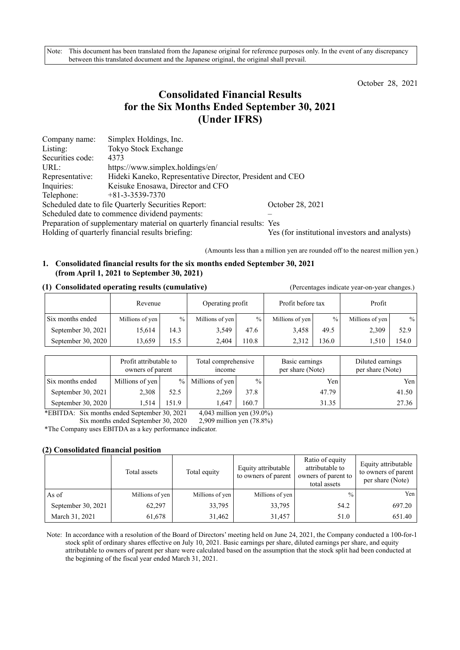Note: This document has been translated from the Japanese original for reference purposes only. In the event of any discrepancy between this translated document and the Japanese original, the original shall prevail.

October 28, 2021

# **Consolidated Financial Results for the Six Months Ended September 30, 2021 (Under IFRS)**

| Company name:                                                             | Simplex Holdings, Inc.                                                                             |                  |  |  |  |  |
|---------------------------------------------------------------------------|----------------------------------------------------------------------------------------------------|------------------|--|--|--|--|
| Listing:                                                                  | <b>Tokyo Stock Exchange</b>                                                                        |                  |  |  |  |  |
| Securities code:                                                          | 4373                                                                                               |                  |  |  |  |  |
| URL:                                                                      | https://www.simplex.holdings/en/                                                                   |                  |  |  |  |  |
| Representative:                                                           | Hideki Kaneko, Representative Director, President and CEO                                          |                  |  |  |  |  |
| Inquiries:                                                                | Keisuke Enosawa, Director and CFO                                                                  |                  |  |  |  |  |
| Telephone:                                                                | $+81-3-3539-7370$                                                                                  |                  |  |  |  |  |
|                                                                           | Scheduled date to file Quarterly Securities Report:                                                | October 28, 2021 |  |  |  |  |
| Scheduled date to commence dividend payments:                             |                                                                                                    |                  |  |  |  |  |
| Preparation of supplementary material on quarterly financial results: Yes |                                                                                                    |                  |  |  |  |  |
|                                                                           | Holding of quarterly financial results briefing:<br>Yes (for institutional investors and analysts) |                  |  |  |  |  |

(Amounts less than a million yen are rounded off to the nearest million yen.)

## **1. Consolidated financial results for the six months ended September 30, 2021 (from April 1, 2021 to September 30, 2021)**

#### **(1) Consolidated operating results (cumulative)** (Percentages indicate year-on-year changes.)

|                    | Revenue         |      | Operating profit |       | Profit before tax |       | Profit          |       |
|--------------------|-----------------|------|------------------|-------|-------------------|-------|-----------------|-------|
| Six months ended   | Millions of yen | $\%$ | Millions of yen  | $\%$  | Millions of yen   | $\%$  | Millions of yen | $\%$  |
| September 30, 2021 | 15,614          | 14.3 | 3,549            | 47.6  | 3,458             | 49.5  | 2,309           | 52.9  |
| September 30, 2020 | 13.659          | 15.5 | 2.404            | 110.8 | 2.312             | 136.0 | 1.510           | 154.0 |

|                    | Profit attributable to<br>owners of parent<br>mcome |       | Total comprehensive |               |       |       | Basic earnings<br>per share (Note) | Diluted earnings<br>per share (Note) |
|--------------------|-----------------------------------------------------|-------|---------------------|---------------|-------|-------|------------------------------------|--------------------------------------|
| Six months ended   | Millions of yen                                     |       | $%$ Millions of yen | $\frac{0}{0}$ | Yen   | Yen   |                                    |                                      |
| September 30, 2021 | 2,308                                               | 52.5  | 2,269               | 37.8          | 47.79 | 41.50 |                                    |                                      |
| September 30, 2020 | 1.514                                               | 151.9 | 1.647               | 160.7         | 31.35 | 27.36 |                                    |                                      |

\*EBITDA: Six months ended September 30, 2021 4,043 million yen (39.0%)

Six months ended September 30, 2020 2,909 million yen (78.8%)

\*The Company uses EBITDA as a key performance indicator.

#### **(2) Consolidated financial position**

|                    | Total assets    | Total equity    | Equity attributable<br>to owners of parent | Ratio of equity<br>attributable to<br>owners of parent to<br>total assets | Equity attributable<br>to owners of parent<br>per share (Note) |
|--------------------|-----------------|-----------------|--------------------------------------------|---------------------------------------------------------------------------|----------------------------------------------------------------|
| As of              | Millions of yen | Millions of yen | Millions of yen                            | $\frac{0}{0}$                                                             | Yen l                                                          |
| September 30, 2021 | 62,297          | 33,795          | 33,795                                     | 54.2                                                                      | 697.20                                                         |
| March 31, 2021     | 61,678          | 31,462          | 31,457                                     | 51.0                                                                      | 651.40                                                         |

Note: In accordance with a resolution of the Board of Directors' meeting held on June 24, 2021, the Company conducted a 100-for-1 stock split of ordinary shares effective on July 10, 2021. Basic earnings per share, diluted earnings per share, and equity attributable to owners of parent per share were calculated based on the assumption that the stock split had been conducted at the beginning of the fiscal year ended March 31, 2021.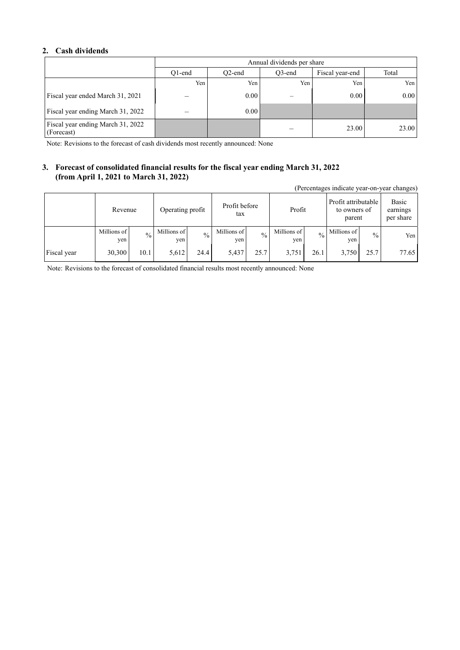#### **2. Cash dividends**

|                                                 | Annual dividends per share |                     |        |                 |       |  |  |  |
|-------------------------------------------------|----------------------------|---------------------|--------|-----------------|-------|--|--|--|
|                                                 | O1-end                     | O <sub>2</sub> -end | O3-end | Fiscal year-end | Total |  |  |  |
|                                                 | Yen                        | Yen                 | Yen    | Yen             | Yen   |  |  |  |
| Fiscal year ended March 31, 2021                |                            | 0.00                |        | 0.00            | 0.00  |  |  |  |
| Fiscal year ending March 31, 2022               |                            | 0.00                |        |                 |       |  |  |  |
| Fiscal year ending March 31, 2022<br>(Forecast) |                            |                     |        | 23.00           | 23.00 |  |  |  |

Note: Revisions to the forecast of cash dividends most recently announced: None

#### **3. Forecast of consolidated financial results for the fiscal year ending March 31, 2022 (from April 1, 2021 to March 31, 2022)**

|             | (Percentages indicate year-on-year changes) |                             |                    |                      |                    |               |                    |                                               |                    |                                |       |
|-------------|---------------------------------------------|-----------------------------|--------------------|----------------------|--------------------|---------------|--------------------|-----------------------------------------------|--------------------|--------------------------------|-------|
|             |                                             | Operating profit<br>Revenue |                    | Profit before<br>tax |                    | Profit        |                    | Profit attributable<br>to owners of<br>parent |                    | Basic<br>earnings<br>per share |       |
|             | Millions of<br>yen                          | $\frac{0}{0}$               | Millions of<br>yen | $\frac{0}{0}$        | Millions of<br>yen | $\frac{0}{0}$ | Millions of<br>yen | $\frac{0}{0}$                                 | Millions of<br>yen | $\frac{0}{0}$                  | Yen   |
| Fiscal year | 30,300                                      | 10.1                        | 5,612              | 24.4                 | 5,437              | 25.7          | 3,751              | 26.1                                          | 3,750              | 25.7                           | 77.65 |

Note: Revisions to the forecast of consolidated financial results most recently announced: None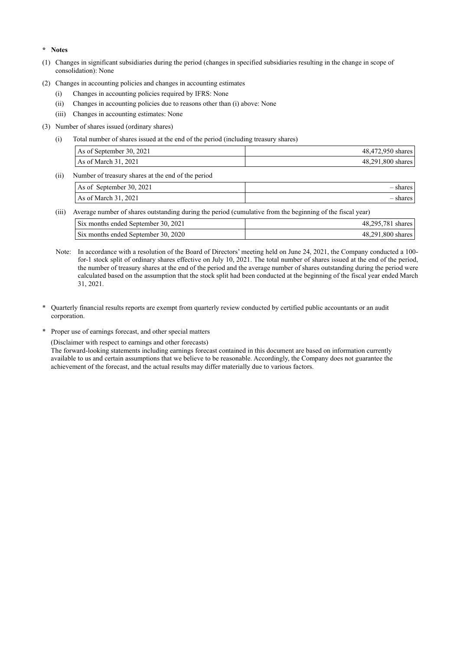**\* Notes** 

- (1) Changes in significant subsidiaries during the period (changes in specified subsidiaries resulting in the change in scope of consolidation): None
- (2) Changes in accounting policies and changes in accounting estimates
	- (i) Changes in accounting policies required by IFRS: None
	- (ii) Changes in accounting policies due to reasons other than (i) above: None
	- (iii) Changes in accounting estimates: None
- (3) Number of shares issued (ordinary shares)
	- (i) Total number of shares issued at the end of the period (including treasury shares)

| As of September 30, 2021 | 48,472,950 shares |
|--------------------------|-------------------|
| As of March 31, 2021     | 48,291,800 shares |

(ii) Number of treasury shares at the end of the period

| September 30, $2021$<br>As of | nares |
|-------------------------------|-------|
| As of March 31, 2021          | nares |

(iii) Average number of shares outstanding during the period (cumulative from the beginning of the fiscal year)

| Six months ended September 30, 2021 | 48,295,781 shares |
|-------------------------------------|-------------------|
| Six months ended September 30, 2020 | 48,291,800 shares |

- Note: In accordance with a resolution of the Board of Directors' meeting held on June 24, 2021, the Company conducted a 100 for-1 stock split of ordinary shares effective on July 10, 2021. The total number of shares issued at the end of the period, the number of treasury shares at the end of the period and the average number of shares outstanding during the period were calculated based on the assumption that the stock split had been conducted at the beginning of the fiscal year ended March 31, 2021.
- \* Quarterly financial results reports are exempt from quarterly review conducted by certified public accountants or an audit corporation.
- \* Proper use of earnings forecast, and other special matters

(Disclaimer with respect to earnings and other forecasts)

The forward-looking statements including earnings forecast contained in this document are based on information currently available to us and certain assumptions that we believe to be reasonable. Accordingly, the Company does not guarantee the achievement of the forecast, and the actual results may differ materially due to various factors.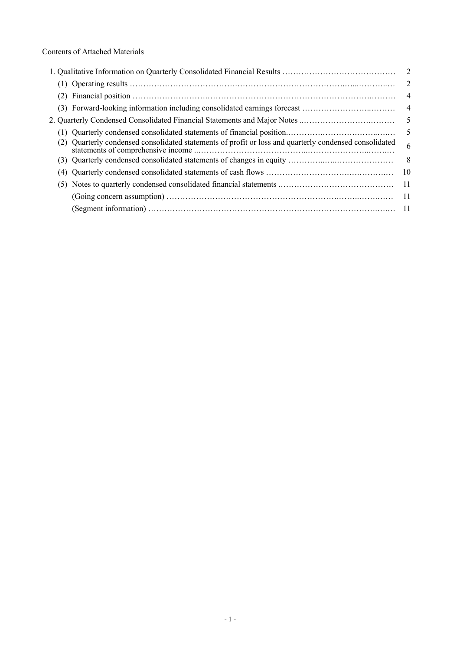|     |                                                                                                    | 2               |
|-----|----------------------------------------------------------------------------------------------------|-----------------|
|     |                                                                                                    | $\overline{4}$  |
|     |                                                                                                    | $\overline{4}$  |
|     |                                                                                                    | $5\overline{)}$ |
|     |                                                                                                    | - 5             |
|     | Quarterly condensed consolidated statements of profit or loss and quarterly condensed consolidated | 6               |
|     |                                                                                                    | 8               |
|     |                                                                                                    | 10              |
| (5) |                                                                                                    | -11             |
|     |                                                                                                    | -11             |
|     |                                                                                                    |                 |
|     |                                                                                                    |                 |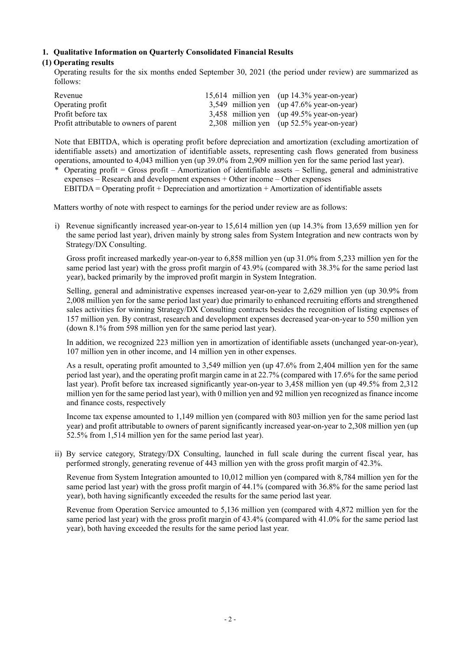#### **1. Qualitative Information on Quarterly Consolidated Financial Results**

#### **(1) Operating results**

Operating results for the six months ended September 30, 2021 (the period under review) are summarized as follows:

| Revenue                                 |  | 15,614 million yen (up $14.3\%$ year-on-year) |
|-----------------------------------------|--|-----------------------------------------------|
| Operating profit                        |  | 3,549 million yen (up $47.6\%$ year-on-year)  |
| Profit before tax                       |  | $3,458$ million yen (up 49.5% year-on-year)   |
| Profit attributable to owners of parent |  | 2,308 million yen (up $52.5\%$ year-on-year)  |

Note that EBITDA, which is operating profit before depreciation and amortization (excluding amortization of identifiable assets) and amortization of identifiable assets, representing cash flows generated from business operations, amounted to 4,043 million yen (up 39.0% from 2,909 million yen for the same period last year).

\* Operating profit = Gross profit – Amortization of identifiable assets – Selling, general and administrative expenses – Research and development expenses + Other income – Other expenses  $EBITDA = Operating profit + Depreciation and annotation + Amortization of identifiable assets$ 

Matters worthy of note with respect to earnings for the period under review are as follows:

i) Revenue significantly increased year-on-year to 15,614 million yen (up 14.3% from 13,659 million yen for the same period last year), driven mainly by strong sales from System Integration and new contracts won by Strategy/DX Consulting.

Gross profit increased markedly year-on-year to 6,858 million yen (up 31.0% from 5,233 million yen for the same period last year) with the gross profit margin of 43.9% (compared with 38.3% for the same period last year), backed primarily by the improved profit margin in System Integration.

Selling, general and administrative expenses increased year-on-year to 2,629 million yen (up 30.9% from 2,008 million yen for the same period last year) due primarily to enhanced recruiting efforts and strengthened sales activities for winning Strategy/DX Consulting contracts besides the recognition of listing expenses of 157 million yen. By contrast, research and development expenses decreased year-on-year to 550 million yen (down 8.1% from 598 million yen for the same period last year).

In addition, we recognized 223 million yen in amortization of identifiable assets (unchanged year-on-year), 107 million yen in other income, and 14 million yen in other expenses.

As a result, operating profit amounted to 3,549 million yen (up 47.6% from 2,404 million yen for the same period last year), and the operating profit margin came in at 22.7% (compared with 17.6% for the same period last year). Profit before tax increased significantly year-on-year to 3,458 million yen (up 49.5% from 2,312 million yen for the same period last year), with 0 million yen and 92 million yen recognized as finance income and finance costs, respectively

Income tax expense amounted to 1,149 million yen (compared with 803 million yen for the same period last year) and profit attributable to owners of parent significantly increased year-on-year to 2,308 million yen (up 52.5% from 1,514 million yen for the same period last year).

ii) By service category, Strategy/DX Consulting, launched in full scale during the current fiscal year, has performed strongly, generating revenue of 443 million yen with the gross profit margin of 42.3%.

Revenue from System Integration amounted to 10,012 million yen (compared with 8,784 million yen for the same period last year) with the gross profit margin of 44.1% (compared with 36.8% for the same period last year), both having significantly exceeded the results for the same period last year.

Revenue from Operation Service amounted to 5,136 million yen (compared with 4,872 million yen for the same period last year) with the gross profit margin of 43.4% (compared with 41.0% for the same period last year), both having exceeded the results for the same period last year.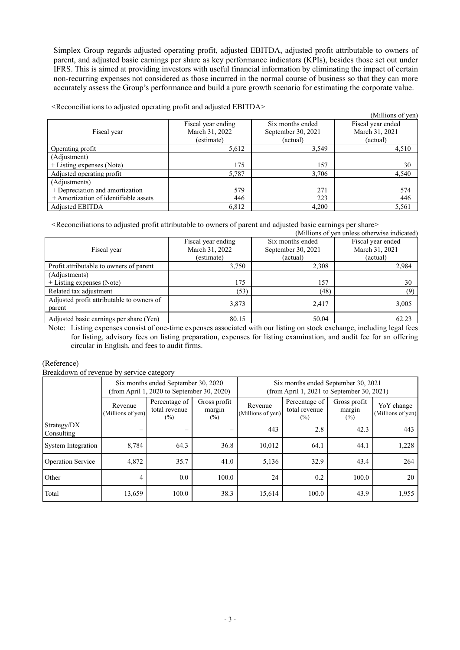Simplex Group regards adjusted operating profit, adjusted EBITDA, adjusted profit attributable to owners of parent, and adjusted basic earnings per share as key performance indicators (KPIs), besides those set out under IFRS. This is aimed at providing investors with useful financial information by eliminating the impact of certain non-recurring expenses not considered as those incurred in the normal course of business so that they can more accurately assess the Group's performance and build a pure growth scenario for estimating the corporate value.

|                                       |                    |                    | (Millions of yen) |
|---------------------------------------|--------------------|--------------------|-------------------|
|                                       | Fiscal year ending | Six months ended   | Fiscal year ended |
| Fiscal year                           | March 31, 2022     | September 30, 2021 | March 31, 2021    |
|                                       | (estimate)         | (actual)           | (actual)          |
| Operating profit                      | 5,612              | 3,549              | 4,510             |
| (Adjustment)                          |                    |                    |                   |
| + Listing expenses (Note)             | 175                | 157                | 30                |
| Adjusted operating profit             | 5,787              | 3.706              | 4,540             |
| (Adjustments)                         |                    |                    |                   |
| + Depreciation and amortization       | 579                | 271                | 574               |
| + Amortization of identifiable assets | 446                | 223                | 446               |
| Adjusted EBITDA                       | 6,812              | 4,200              | 5,561             |

<Reconciliations to adjusted operating profit and adjusted EBITDA>

<Reconciliations to adjusted profit attributable to owners of parent and adjusted basic earnings per share>

|                                           |                    |                    | (Millions of yen unless otherwise indicated) |
|-------------------------------------------|--------------------|--------------------|----------------------------------------------|
|                                           | Fiscal year ending | Six months ended   | Fiscal year ended                            |
| Fiscal year                               | March 31, 2022     | September 30, 2021 | March 31, 2021                               |
|                                           | (estimate)         | (actual)           | (actual)                                     |
| Profit attributable to owners of parent   | 3,750              | 2,308              | 2,984                                        |
| (Adjustments)                             |                    |                    |                                              |
| + Listing expenses (Note)                 | 175                | 157                | 30                                           |
| Related tax adjustment                    | (53)               | (48)               | (9)                                          |
| Adjusted profit attributable to owners of | 3,873              | 2,417              | 3,005                                        |
| parent                                    |                    |                    |                                              |
| Adjusted basic earnings per share (Yen)   | 80.15              | 50.04              | 62.23                                        |

Note: Listing expenses consist of one-time expenses associated with our listing on stock exchange, including legal fees for listing, advisory fees on listing preparation, expenses for listing examination, and audit fee for an offering circular in English, and fees to audit firms.

(Reference)

Breakdown of revenue by service category

|                           | Six months ended September 30, 2020<br>(from April 1, 2020 to September 30, 2020) |                                          |                                  | Six months ended September 30, 2021<br>(from April 1, 2021 to September 30, 2021) |                                          |                                  |                                 |
|---------------------------|-----------------------------------------------------------------------------------|------------------------------------------|----------------------------------|-----------------------------------------------------------------------------------|------------------------------------------|----------------------------------|---------------------------------|
|                           | Revenue<br>(Millions of yen)                                                      | Percentage of<br>total revenue<br>$(\%)$ | Gross profit<br>margin<br>$(\%)$ | Revenue<br>(Millions of yen)                                                      | Percentage of<br>total revenue<br>$(\%)$ | Gross profit<br>margin<br>$(\%)$ | YoY change<br>(Millions of yen) |
| Strategy/DX<br>Consulting |                                                                                   | $\equiv$                                 |                                  | 443                                                                               | 2.8                                      | 42.3                             | 443                             |
| System Integration        | 8,784                                                                             | 64.3                                     | 36.8                             | 10.012                                                                            | 64.1                                     | 44.1                             | 1,228                           |
| <b>Operation Service</b>  | 4,872                                                                             | 35.7                                     | 41.0                             | 5,136                                                                             | 32.9                                     | 43.4                             | 264                             |
| Other                     | 4                                                                                 | 0.0                                      | 100.0                            | 24                                                                                | 0.2                                      | 100.0                            | 20                              |
| Total                     | 13,659                                                                            | 100.0                                    | 38.3                             | 15,614                                                                            | 100.0                                    | 43.9                             | 1,955                           |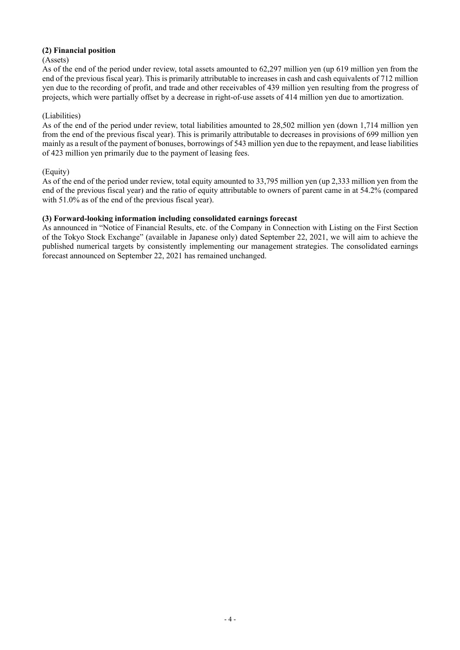#### **(2) Financial position**

#### (Assets)

As of the end of the period under review, total assets amounted to 62,297 million yen (up 619 million yen from the end of the previous fiscal year). This is primarily attributable to increases in cash and cash equivalents of 712 million yen due to the recording of profit, and trade and other receivables of 439 million yen resulting from the progress of projects, which were partially offset by a decrease in right-of-use assets of 414 million yen due to amortization.

## (Liabilities)

As of the end of the period under review, total liabilities amounted to 28,502 million yen (down 1,714 million yen from the end of the previous fiscal year). This is primarily attributable to decreases in provisions of 699 million yen mainly as a result of the payment of bonuses, borrowings of 543 million yen due to the repayment, and lease liabilities of 423 million yen primarily due to the payment of leasing fees.

## (Equity)

As of the end of the period under review, total equity amounted to 33,795 million yen (up 2,333 million yen from the end of the previous fiscal year) and the ratio of equity attributable to owners of parent came in at 54.2% (compared with 51.0% as of the end of the previous fiscal year).

## **(3) Forward-looking information including consolidated earnings forecast**

As announced in "Notice of Financial Results, etc. of the Company in Connection with Listing on the First Section of the Tokyo Stock Exchange" (available in Japanese only) dated September 22, 2021, we will aim to achieve the published numerical targets by consistently implementing our management strategies. The consolidated earnings forecast announced on September 22, 2021 has remained unchanged.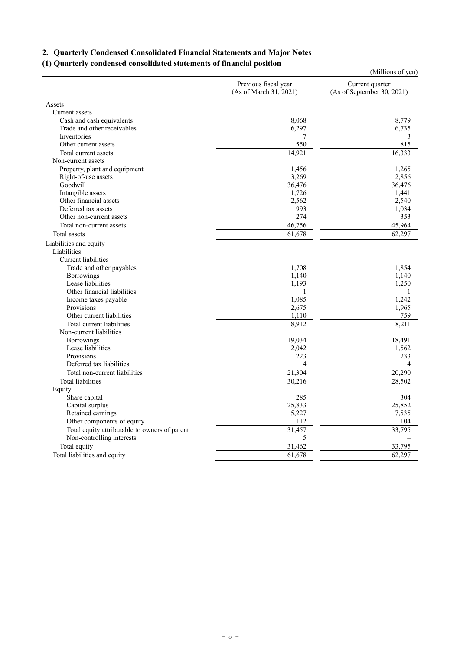# **2. Quarterly Condensed Consolidated Financial Statements and Major Notes**

## **(1) Quarterly condensed consolidated statements of financial position**

|                                               |                                                | (Millions of yen)                             |
|-----------------------------------------------|------------------------------------------------|-----------------------------------------------|
|                                               | Previous fiscal year<br>(As of March 31, 2021) | Current quarter<br>(As of September 30, 2021) |
| Assets                                        |                                                |                                               |
| Current assets                                |                                                |                                               |
| Cash and cash equivalents                     | 8,068                                          | 8,779                                         |
| Trade and other receivables                   | 6,297                                          | 6,735                                         |
| Inventories                                   | 7                                              | 3                                             |
| Other current assets                          | 550                                            | 815                                           |
| Total current assets                          | 14,921                                         | 16,333                                        |
| Non-current assets                            |                                                |                                               |
| Property, plant and equipment                 | 1,456                                          | 1,265                                         |
| Right-of-use assets                           | 3,269                                          | 2,856                                         |
| Goodwill                                      | 36,476                                         | 36,476                                        |
| Intangible assets                             | 1,726                                          | 1,441                                         |
| Other financial assets                        | 2,562                                          | 2,540                                         |
| Deferred tax assets                           | 993                                            | 1,034                                         |
| Other non-current assets                      | 274                                            | 353                                           |
| Total non-current assets                      | 46,756                                         | 45,964                                        |
| Total assets                                  | 61,678                                         | 62,297                                        |
| Liabilities and equity                        |                                                |                                               |
| Liabilities                                   |                                                |                                               |
| Current liabilities                           |                                                |                                               |
| Trade and other payables                      | 1,708                                          | 1,854                                         |
| Borrowings                                    | 1,140                                          | 1,140                                         |
| Lease liabilities                             | 1,193                                          | 1,250                                         |
| Other financial liabilities                   | 1                                              | 1                                             |
| Income taxes payable                          | 1,085                                          | 1,242                                         |
| Provisions                                    | 2,675                                          | 1,965                                         |
| Other current liabilities                     | 1,110                                          | 759                                           |
| Total current liabilities                     | 8,912                                          | 8,211                                         |
| Non-current liabilities                       |                                                |                                               |
| Borrowings                                    | 19,034                                         | 18,491                                        |
| Lease liabilities                             | 2,042                                          | 1,562                                         |
| Provisions                                    | 223                                            | 233                                           |
| Deferred tax liabilities                      | 4                                              | $\overline{4}$                                |
| Total non-current liabilities                 | 21,304                                         | 20,290                                        |
| <b>Total liabilities</b>                      | 30,216                                         | 28,502                                        |
| Equity                                        |                                                |                                               |
| Share capital                                 | 285                                            | 304                                           |
| Capital surplus                               | 25,833                                         | 25,852                                        |
| Retained earnings                             | 5,227                                          | 7,535                                         |
| Other components of equity                    | 112                                            | 104                                           |
| Total equity attributable to owners of parent | 31,457                                         | 33,795                                        |
| Non-controlling interests                     | 5                                              |                                               |
| Total equity                                  | 31,462                                         | 33,795                                        |
| Total liabilities and equity                  | 61,678                                         | 62,297                                        |
|                                               |                                                |                                               |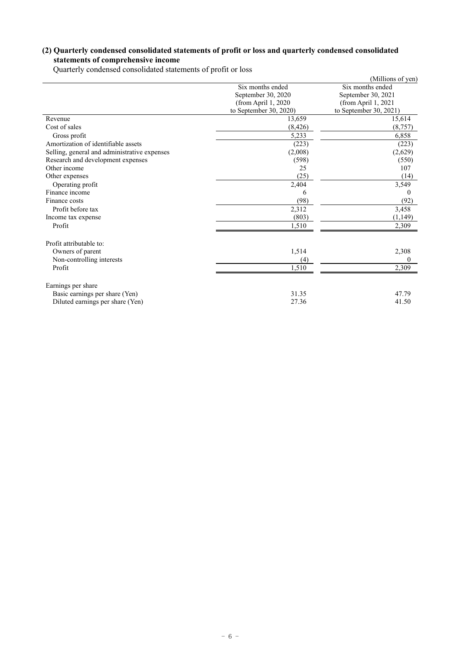## **(2) Quarterly condensed consolidated statements of profit or loss and quarterly condensed consolidated statements of comprehensive income**

Quarterly condensed consolidated statements of profit or loss

|                                              |                        | (Millions of yen)      |
|----------------------------------------------|------------------------|------------------------|
|                                              | Six months ended       | Six months ended       |
|                                              | September 30, 2020     | September 30, 2021     |
|                                              | (from April 1, 2020)   | (from April 1, 2021    |
|                                              | to September 30, 2020) | to September 30, 2021) |
| Revenue                                      | 13,659                 | 15,614                 |
| Cost of sales                                | (8, 426)               | (8,757)                |
| Gross profit                                 | 5,233                  | 6,858                  |
| Amortization of identifiable assets          | (223)                  | (223)                  |
| Selling, general and administrative expenses | (2,008)                | (2,629)                |
| Research and development expenses            | (598)                  | (550)                  |
| Other income                                 | 25                     | 107                    |
| Other expenses                               | (25)                   | (14)                   |
| Operating profit                             | 2,404                  | 3,549                  |
| Finance income                               | 6                      | 0                      |
| Finance costs                                | (98)                   | (92)                   |
| Profit before tax                            | 2,312                  | 3,458                  |
| Income tax expense                           | (803)                  | (1,149)                |
| Profit                                       | 1,510                  | 2,309                  |
| Profit attributable to:                      |                        |                        |
| Owners of parent                             | 1,514                  | 2,308                  |
| Non-controlling interests                    | (4)                    | $\Omega$               |
| Profit                                       | 1,510                  | 2,309                  |
| Earnings per share                           |                        |                        |
| Basic earnings per share (Yen)               | 31.35                  | 47.79                  |
| Diluted earnings per share (Yen)             | 27.36                  | 41.50                  |
|                                              |                        |                        |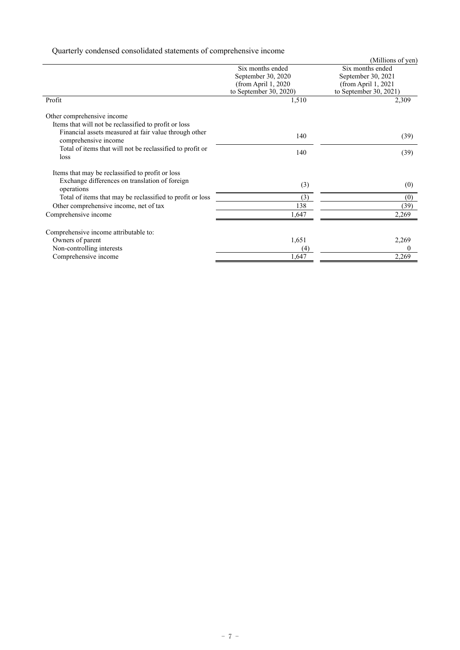Quarterly condensed consolidated statements of comprehensive income

|                                                                               |                        | (Millions of yen)      |
|-------------------------------------------------------------------------------|------------------------|------------------------|
|                                                                               | Six months ended       | Six months ended       |
|                                                                               | September 30, 2020     | September 30, 2021     |
|                                                                               | (from April 1, 2020)   | (from April 1, 2021    |
|                                                                               | to September 30, 2020) | to September 30, 2021) |
| Profit                                                                        | 1,510                  | 2,309                  |
| Other comprehensive income                                                    |                        |                        |
| Items that will not be reclassified to profit or loss                         |                        |                        |
| Financial assets measured at fair value through other<br>comprehensive income | 140                    | (39)                   |
| Total of items that will not be reclassified to profit or<br>loss             | 140                    | (39)                   |
| Items that may be reclassified to profit or loss                              |                        |                        |
| Exchange differences on translation of foreign<br>operations                  | (3)                    | (0)                    |
| Total of items that may be reclassified to profit or loss                     | (3)                    | (0)                    |
| Other comprehensive income, net of tax                                        | 138                    | (39)                   |
| Comprehensive income                                                          | 1,647                  | 2,269                  |
| Comprehensive income attributable to:                                         |                        |                        |
| Owners of parent                                                              | 1,651                  | 2,269                  |
| Non-controlling interests                                                     | (4)                    |                        |
| Comprehensive income                                                          | 1,647                  | 2,269                  |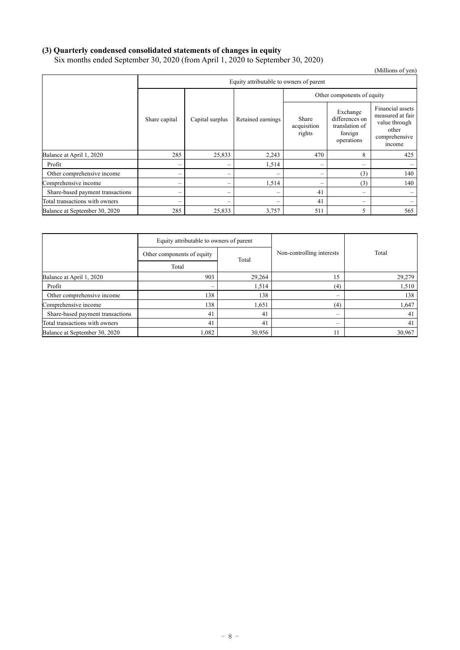# **(3) Quarterly condensed consolidated statements of changes in equity**

Six months ended September 30, 2020 (from April 1, 2020 to September 30, 2020)

|                                  |               |                                         |                   |                                |                                                                       | (Millions of yen)                                                                         |  |
|----------------------------------|---------------|-----------------------------------------|-------------------|--------------------------------|-----------------------------------------------------------------------|-------------------------------------------------------------------------------------------|--|
|                                  |               | Equity attributable to owners of parent |                   |                                |                                                                       |                                                                                           |  |
|                                  |               |                                         |                   | Other components of equity     |                                                                       |                                                                                           |  |
|                                  | Share capital | Capital surplus                         | Retained earnings | Share<br>acquisition<br>rights | Exchange<br>differences on<br>translation of<br>foreign<br>operations | Financial assets<br>measured at fair<br>value through<br>other<br>comprehensive<br>income |  |
| Balance at April 1, 2020         | 285           | 25,833                                  | 2,243             | 470                            | 8                                                                     | 425                                                                                       |  |
| Profit                           | -             |                                         | 1,514             |                                | -                                                                     |                                                                                           |  |
| Other comprehensive income       |               |                                         |                   |                                | (3)                                                                   | 140                                                                                       |  |
| Comprehensive income             | $\sim$        |                                         | 1,514             | -                              | (3)                                                                   | 140                                                                                       |  |
| Share-based payment transactions | -             |                                         |                   | 41                             | -                                                                     |                                                                                           |  |
| Total transactions with owners   | -             |                                         |                   | 41                             | -                                                                     |                                                                                           |  |
| Balance at September 30, 2020    | 285           | 25,833                                  | 3,757             | 511                            | 5                                                                     | 565                                                                                       |  |

|                                  | Equity attributable to owners of parent |        |                           |        |  |
|----------------------------------|-----------------------------------------|--------|---------------------------|--------|--|
|                                  | Other components of equity              | Total  | Non-controlling interests | Total  |  |
|                                  | Total                                   |        |                           |        |  |
| Balance at April 1, 2020         | 903                                     | 29,264 | 15                        | 29,279 |  |
| Profit                           |                                         | 1,514  | (4)                       | 1,510  |  |
| Other comprehensive income       | 138                                     | 138    | $\overline{\phantom{a}}$  | 138    |  |
| Comprehensive income             | 138                                     | 1,651  | (4)                       | 1,647  |  |
| Share-based payment transactions | 41                                      | 41     | -                         | 41     |  |
| Total transactions with owners   | 41                                      | 41     | $\overline{\phantom{a}}$  | 41     |  |
| Balance at September 30, 2020    | 1,082                                   | 30,956 |                           | 30,967 |  |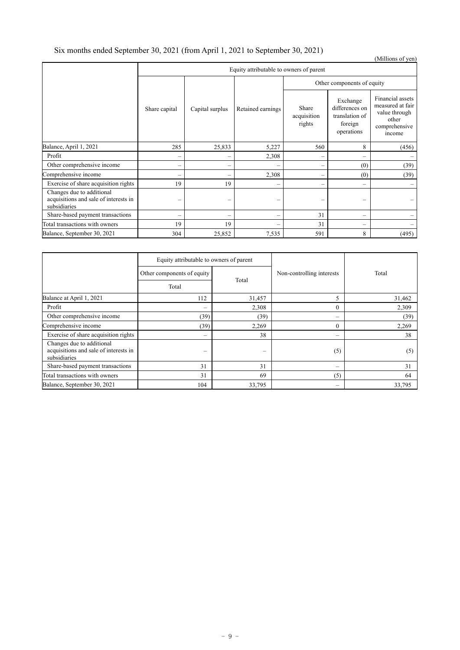# Six months ended September 30, 2021 (from April 1, 2021 to September 30, 2021)

| л.                                                                                 |               |                                         |                   |                                |                                                                           | (Millions of yen)                                                                         |  |
|------------------------------------------------------------------------------------|---------------|-----------------------------------------|-------------------|--------------------------------|---------------------------------------------------------------------------|-------------------------------------------------------------------------------------------|--|
|                                                                                    |               | Equity attributable to owners of parent |                   |                                |                                                                           |                                                                                           |  |
|                                                                                    |               |                                         |                   |                                | Other components of equity                                                |                                                                                           |  |
|                                                                                    | Share capital | Capital surplus                         | Retained earnings | Share<br>acquisition<br>rights | Exchange<br>differences on<br>translation of<br>foreign<br>operations     | Financial assets<br>measured at fair<br>value through<br>other<br>comprehensive<br>income |  |
| Balance, April 1, 2021                                                             | 285           | 25,833                                  | 5,227             | 560                            | 8                                                                         | (456)                                                                                     |  |
| Profit                                                                             |               |                                         | 2,308             | $\overline{\phantom{a}}$       | $\overline{\phantom{0}}$                                                  |                                                                                           |  |
| Other comprehensive income                                                         |               | $\overline{\phantom{0}}$                |                   | $\qquad \qquad -$              | (0)                                                                       | (39)                                                                                      |  |
| Comprehensive income                                                               |               |                                         | 2,308             | -                              | (0)                                                                       | (39)                                                                                      |  |
| Exercise of share acquisition rights                                               | 19            | 19                                      |                   | -                              | $\hspace{1.0cm} \rule{1.5cm}{0.15cm} \hspace{1.0cm} \rule{1.5cm}{0.15cm}$ |                                                                                           |  |
| Changes due to additional<br>acquisitions and sale of interests in<br>subsidiaries |               |                                         |                   | -                              | -                                                                         |                                                                                           |  |
| Share-based payment transactions                                                   |               |                                         |                   | 31                             |                                                                           |                                                                                           |  |
| Total transactions with owners                                                     | 19            | 19                                      |                   | 31                             | $\hspace{1.0cm} \rule{1.5cm}{0.15cm}$                                     |                                                                                           |  |
| Balance, September 30, 2021                                                        | 304           | 25,852                                  | 7,535             | 591                            | 8                                                                         | (495)                                                                                     |  |

|                                                                                    | Equity attributable to owners of parent |        |                           |        |  |
|------------------------------------------------------------------------------------|-----------------------------------------|--------|---------------------------|--------|--|
|                                                                                    | Other components of equity              |        | Non-controlling interests | Total  |  |
|                                                                                    | Total                                   | Total  |                           |        |  |
| Balance at April 1, 2021                                                           | 112                                     | 31,457 | 5                         | 31,462 |  |
| Profit                                                                             | $\overline{\phantom{a}}$                | 2,308  | $\Omega$                  | 2,309  |  |
| Other comprehensive income                                                         | (39)                                    | (39)   | -                         | (39)   |  |
| Comprehensive income                                                               | (39)                                    | 2,269  | $\mathbf{0}$              | 2,269  |  |
| Exercise of share acquisition rights                                               |                                         | 38     |                           | 38     |  |
| Changes due to additional<br>acquisitions and sale of interests in<br>subsidiaries | -                                       | -      | (5)                       | (5)    |  |
| Share-based payment transactions                                                   | 31                                      | 31     |                           | 31     |  |
| Total transactions with owners                                                     | 31                                      | 69     | (5)                       | 64     |  |
| Balance, September 30, 2021                                                        | 104                                     | 33,795 | -                         | 33,795 |  |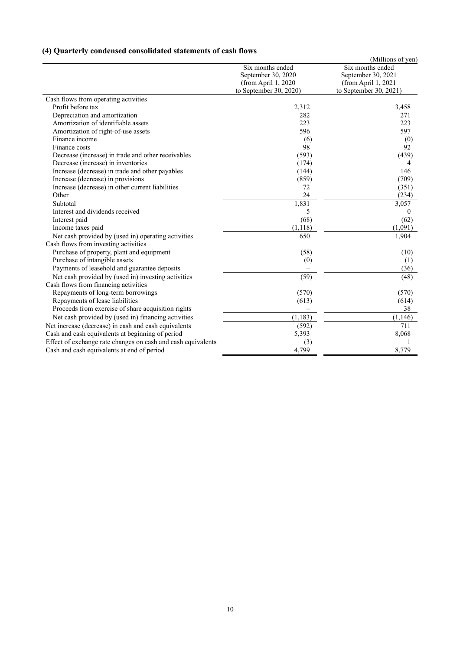# **(4) Quarterly condensed consolidated statements of cash flows**

|                                                              |                         | (Millions of yen)      |
|--------------------------------------------------------------|-------------------------|------------------------|
|                                                              | Six months ended        | Six months ended       |
|                                                              | September 30, 2020      | September 30, 2021     |
|                                                              | (from April 1, 2020     | (from April 1, 2021    |
|                                                              | to September $30, 2020$ | to September 30, 2021) |
| Cash flows from operating activities                         |                         |                        |
| Profit before tax                                            | 2,312                   | 3,458                  |
| Depreciation and amortization                                | 282                     | 271                    |
| Amortization of identifiable assets                          | 223                     | 223                    |
| Amortization of right-of-use assets                          | 596                     | 597                    |
| Finance income                                               | (6)                     | (0)                    |
| Finance costs                                                | 98                      | 92                     |
| Decrease (increase) in trade and other receivables           | (593)                   | (439)                  |
| Decrease (increase) in inventories                           | (174)                   | 4                      |
| Increase (decrease) in trade and other payables              | (144)                   | 146                    |
| Increase (decrease) in provisions                            | (859)                   | (709)                  |
| Increase (decrease) in other current liabilities             | 72                      | (351)                  |
| Other                                                        | 24                      | (234)                  |
| Subtotal                                                     | 1,831                   | 3,057                  |
| Interest and dividends received                              | 5                       | $\theta$               |
| Interest paid                                                | (68)                    | (62)                   |
| Income taxes paid                                            | (1, 118)                | (1,091)                |
| Net cash provided by (used in) operating activities          | 650                     | 1,904                  |
| Cash flows from investing activities                         |                         |                        |
| Purchase of property, plant and equipment                    | (58)                    | (10)                   |
| Purchase of intangible assets                                | (0)                     | (1)                    |
| Payments of leasehold and guarantee deposits                 |                         | (36)                   |
| Net cash provided by (used in) investing activities          | (59)                    | (48)                   |
| Cash flows from financing activities                         |                         |                        |
| Repayments of long-term borrowings                           | (570)                   | (570)                  |
| Repayments of lease liabilities                              | (613)                   | (614)                  |
| Proceeds from exercise of share acquisition rights           |                         | 38                     |
| Net cash provided by (used in) financing activities          | (1, 183)                | (1, 146)               |
| Net increase (decrease) in cash and cash equivalents         | (592)                   | 711                    |
| Cash and cash equivalents at beginning of period             | 5,393                   | 8,068                  |
| Effect of exchange rate changes on cash and cash equivalents | (3)                     |                        |
| Cash and cash equivalents at end of period                   | 4,799                   | 8,779                  |
|                                                              |                         |                        |